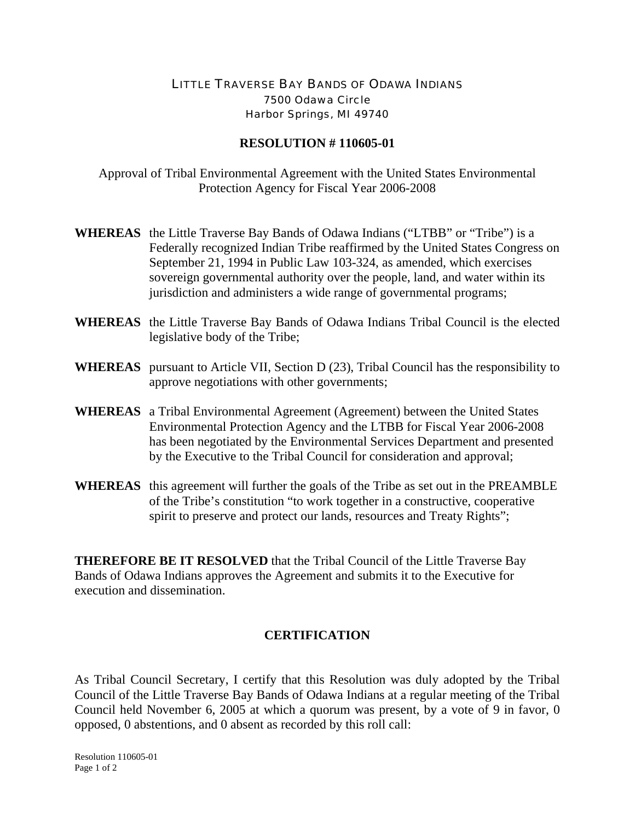## LITTLE TRAVERSE BAY BANDS OF ODAWA INDIANS 7500 Odawa Circle Harbor Springs, MI 49740

## **RESOLUTION # 110605-01**

Approval of Tribal Environmental Agreement with the United States Environmental Protection Agency for Fiscal Year 2006-2008

- **WHEREAS** the Little Traverse Bay Bands of Odawa Indians ("LTBB" or "Tribe") is a Federally recognized Indian Tribe reaffirmed by the United States Congress on September 21, 1994 in Public Law 103-324, as amended, which exercises sovereign governmental authority over the people, land, and water within its jurisdiction and administers a wide range of governmental programs;
- **WHEREAS** the Little Traverse Bay Bands of Odawa Indians Tribal Council is the elected legislative body of the Tribe;
- **WHEREAS** pursuant to Article VII, Section D (23), Tribal Council has the responsibility to approve negotiations with other governments;
- **WHEREAS** a Tribal Environmental Agreement (Agreement) between the United States Environmental Protection Agency and the LTBB for Fiscal Year 2006-2008 has been negotiated by the Environmental Services Department and presented by the Executive to the Tribal Council for consideration and approval;
- **WHEREAS** this agreement will further the goals of the Tribe as set out in the PREAMBLE of the Tribe's constitution "to work together in a constructive, cooperative spirit to preserve and protect our lands, resources and Treaty Rights";

**THEREFORE BE IT RESOLVED** that the Tribal Council of the Little Traverse Bay Bands of Odawa Indians approves the Agreement and submits it to the Executive for execution and dissemination.

## **CERTIFICATION**

As Tribal Council Secretary, I certify that this Resolution was duly adopted by the Tribal Council of the Little Traverse Bay Bands of Odawa Indians at a regular meeting of the Tribal Council held November 6, 2005 at which a quorum was present, by a vote of 9 in favor, 0 opposed, 0 abstentions, and 0 absent as recorded by this roll call: